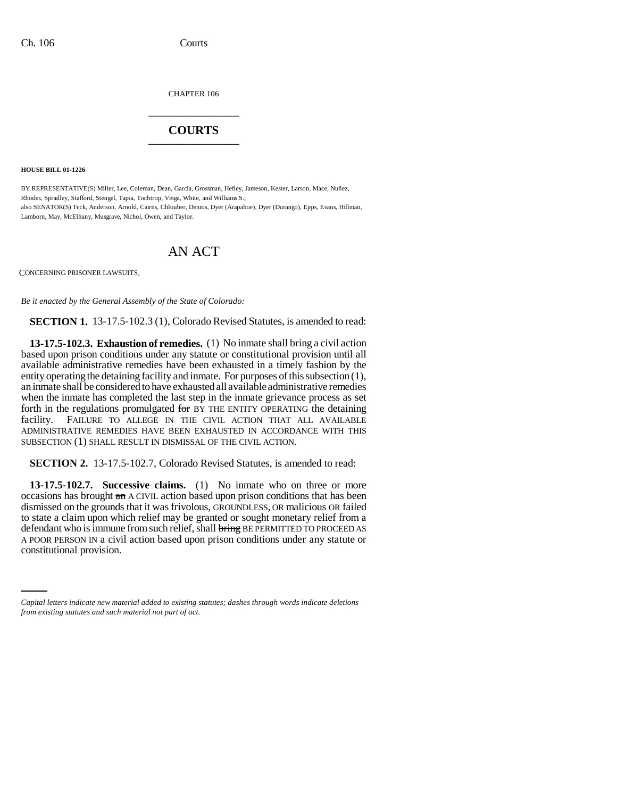CHAPTER 106 \_\_\_\_\_\_\_\_\_\_\_\_\_\_\_

## **COURTS** \_\_\_\_\_\_\_\_\_\_\_\_\_\_\_

**HOUSE BILL 01-1226**

BY REPRESENTATIVE(S) Miller, Lee, Coleman, Dean, Garcia, Grossman, Hefley, Jameson, Kester, Larson, Mace, Nuñez, Rhodes, Spradley, Stafford, Stengel, Tapia, Tochtrop, Veiga, White, and Williams S.; also SENATOR(S) Teck, Anderson, Arnold, Cairns, Chlouber, Dennis, Dyer (Arapahoe), Dyer (Durango), Epps, Evans, Hillman, Lamborn, May, McElhany, Musgrave, Nichol, Owen, and Taylor.

# AN ACT

CONCERNING PRISONER LAWSUITS.

*Be it enacted by the General Assembly of the State of Colorado:*

**SECTION 1.** 13-17.5-102.3 (1), Colorado Revised Statutes, is amended to read:

**13-17.5-102.3. Exhaustion of remedies.** (1) No inmate shall bring a civil action based upon prison conditions under any statute or constitutional provision until all available administrative remedies have been exhausted in a timely fashion by the entity operating the detaining facility and inmate. For purposes of this subsection (1), an inmate shall be considered to have exhausted all available administrative remedies when the inmate has completed the last step in the inmate grievance process as set forth in the regulations promulgated for BY THE ENTITY OPERATING the detaining facility. FAILURE TO ALLEGE IN THE CIVIL ACTION THAT ALL AVAILABLE ADMINISTRATIVE REMEDIES HAVE BEEN EXHAUSTED IN ACCORDANCE WITH THIS SUBSECTION (1) SHALL RESULT IN DISMISSAL OF THE CIVIL ACTION.

**SECTION 2.** 13-17.5-102.7, Colorado Revised Statutes, is amended to read:

A POOR PERSON IN a civil action based upon prison conditions under any statute or **13-17.5-102.7. Successive claims.** (1) No inmate who on three or more occasions has brought an A CIVIL action based upon prison conditions that has been dismissed on the grounds that it was frivolous, GROUNDLESS, OR malicious OR failed to state a claim upon which relief may be granted or sought monetary relief from a defendant who is immune from such relief, shall bring BE PERMITTED TO PROCEED AS constitutional provision.

*Capital letters indicate new material added to existing statutes; dashes through words indicate deletions from existing statutes and such material not part of act.*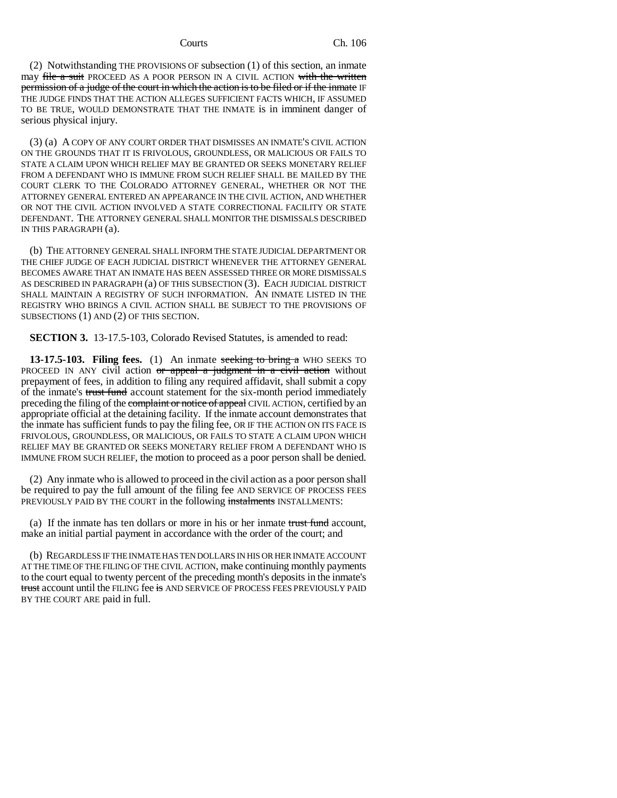(2) Notwithstanding THE PROVISIONS OF subsection (1) of this section, an inmate may file a suit PROCEED AS A POOR PERSON IN A CIVIL ACTION with the written permission of a judge of the court in which the action is to be filed or if the inmate IF THE JUDGE FINDS THAT THE ACTION ALLEGES SUFFICIENT FACTS WHICH, IF ASSUMED TO BE TRUE, WOULD DEMONSTRATE THAT THE INMATE is in imminent danger of serious physical injury.

(3) (a) A COPY OF ANY COURT ORDER THAT DISMISSES AN INMATE'S CIVIL ACTION ON THE GROUNDS THAT IT IS FRIVOLOUS, GROUNDLESS, OR MALICIOUS OR FAILS TO STATE A CLAIM UPON WHICH RELIEF MAY BE GRANTED OR SEEKS MONETARY RELIEF FROM A DEFENDANT WHO IS IMMUNE FROM SUCH RELIEF SHALL BE MAILED BY THE COURT CLERK TO THE COLORADO ATTORNEY GENERAL, WHETHER OR NOT THE ATTORNEY GENERAL ENTERED AN APPEARANCE IN THE CIVIL ACTION, AND WHETHER OR NOT THE CIVIL ACTION INVOLVED A STATE CORRECTIONAL FACILITY OR STATE DEFENDANT. THE ATTORNEY GENERAL SHALL MONITOR THE DISMISSALS DESCRIBED IN THIS PARAGRAPH (a).

(b) THE ATTORNEY GENERAL SHALL INFORM THE STATE JUDICIAL DEPARTMENT OR THE CHIEF JUDGE OF EACH JUDICIAL DISTRICT WHENEVER THE ATTORNEY GENERAL BECOMES AWARE THAT AN INMATE HAS BEEN ASSESSED THREE OR MORE DISMISSALS AS DESCRIBED IN PARAGRAPH (a) OF THIS SUBSECTION (3). EACH JUDICIAL DISTRICT SHALL MAINTAIN A REGISTRY OF SUCH INFORMATION. AN INMATE LISTED IN THE REGISTRY WHO BRINGS A CIVIL ACTION SHALL BE SUBJECT TO THE PROVISIONS OF SUBSECTIONS (1) AND (2) OF THIS SECTION.

**SECTION 3.** 13-17.5-103, Colorado Revised Statutes, is amended to read:

**13-17.5-103. Filing fees.** (1) An inmate seeking to bring a WHO SEEKS TO PROCEED IN ANY civil action or appeal a judgment in a civil action without prepayment of fees, in addition to filing any required affidavit, shall submit a copy of the inmate's trust fund account statement for the six-month period immediately preceding the filing of the complaint or notice of appeal CIVIL ACTION, certified by an appropriate official at the detaining facility. If the inmate account demonstrates that the inmate has sufficient funds to pay the filing fee, OR IF THE ACTION ON ITS FACE IS FRIVOLOUS, GROUNDLESS, OR MALICIOUS, OR FAILS TO STATE A CLAIM UPON WHICH RELIEF MAY BE GRANTED OR SEEKS MONETARY RELIEF FROM A DEFENDANT WHO IS IMMUNE FROM SUCH RELIEF, the motion to proceed as a poor person shall be denied.

(2) Any inmate who is allowed to proceed in the civil action as a poor person shall be required to pay the full amount of the filing fee AND SERVICE OF PROCESS FEES PREVIOUSLY PAID BY THE COURT in the following instalments INSTALLMENTS:

(a) If the inmate has ten dollars or more in his or her inmate trust fund account, make an initial partial payment in accordance with the order of the court; and

(b) REGARDLESS IF THE INMATE HAS TEN DOLLARS IN HIS OR HER INMATE ACCOUNT AT THE TIME OF THE FILING OF THE CIVIL ACTION, make continuing monthly payments to the court equal to twenty percent of the preceding month's deposits in the inmate's trust account until the FILING fee is AND SERVICE OF PROCESS FEES PREVIOUSLY PAID BY THE COURT ARE paid in full.